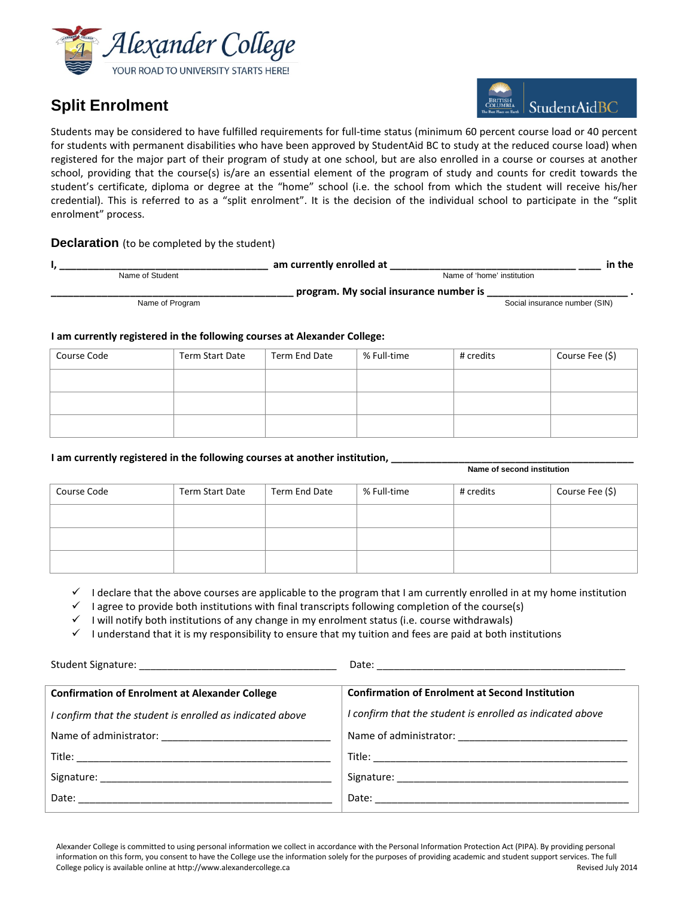

## **Split Enrolment**



Students may be considered to have fulfilled requirements for full-time status (minimum 60 percent course load or 40 percent for students with permanent disabilities who have been approved by StudentAid BC to study at the reduced course load) when registered for the major part of their program of study at one school, but are also enrolled in a course or courses at another school, providing that the course(s) is/are an essential element of the program of study and counts for credit towards the student's certificate, diploma or degree at the "home" school (i.e. the school from which the student will receive his/her credential). This is referred to as a "split enrolment". It is the decision of the individual school to participate in the "split enrolment" process.

## **Declaration** (to be completed by the student)

|                 | am currently enrolled at               | in the |
|-----------------|----------------------------------------|--------|
| Name of Student | Name of 'home' institution             |        |
|                 | program. My social insurance number is |        |
| Name of Program | Social insurance number (SIN)          |        |

## **I am currently registered in the following courses at Alexander College:**

| Course Code | Term Start Date | Term End Date | % Full-time | # credits | Course Fee (\$) |
|-------------|-----------------|---------------|-------------|-----------|-----------------|
|             |                 |               |             |           |                 |
|             |                 |               |             |           |                 |
|             |                 |               |             |           |                 |

## **I am currently registered in the following courses at another institution,**

|             |                 |               | Name of second institution |           |                 |
|-------------|-----------------|---------------|----------------------------|-----------|-----------------|
| Course Code | Term Start Date | Term End Date | % Full-time                | # credits | Course Fee (\$) |
|             |                 |               |                            |           |                 |
|             |                 |               |                            |           |                 |
|             |                 |               |                            |           |                 |

I declare that the above courses are applicable to the program that I am currently enrolled in at my home institution

I agree to provide both institutions with final transcripts following completion of the course(s)

 $\checkmark$  I will notify both institutions of any change in my enrolment status (i.e. course withdrawals)

 $\checkmark$  I understand that it is my responsibility to ensure that my tuition and fees are paid at both institutions

| <b>Confirmation of Enrolment at Alexander College</b>     | <b>Confirmation of Enrolment at Second Institution</b>    |
|-----------------------------------------------------------|-----------------------------------------------------------|
| I confirm that the student is enrolled as indicated above | I confirm that the student is enrolled as indicated above |
|                                                           |                                                           |
|                                                           |                                                           |
|                                                           |                                                           |
|                                                           |                                                           |
|                                                           |                                                           |

Alexander College is committed to using personal information we collect in accordance with the Personal Information Protection Act (PIPA). By providing personal information on this form, you consent to have the College use the information solely for the purposes of providing academic and student support services. The full College policy is available online at http://www.alexandercollege.ca Revised July 2014